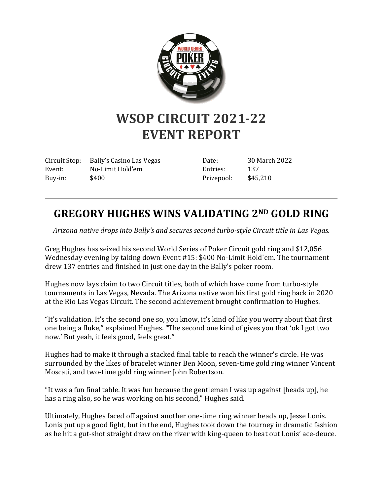

## **WSOP CIRCUIT 2021-22 EVENT REPORT**

Circuit Stop: Bally's Casino Las Vegas Event: No-Limit Hold'em Buy-in: \$400

Date: 30 March 2022 Entries: 137 Prizepool: \$45,210

## **GREGORY HUGHES WINS VALIDATING 2ND GOLD RING**

*Arizona native drops into Bally's and secures second turbo-style Circuit title in Las Vegas.*

Greg Hughes has seized his second World Series of Poker Circuit gold ring and \$12,056 Wednesday evening by taking down Event #15: \$400 No-Limit Hold'em. The tournament drew 137 entries and finished in just one day in the Bally's poker room.

Hughes now lays claim to two Circuit titles, both of which have come from turbo-style tournaments in Las Vegas, Nevada. The Arizona native won his first gold ring back in 2020 at the Rio Las Vegas Circuit. The second achievement brought confirmation to Hughes.

"It's validation. It's the second one so, you know, it's kind of like you worry about that first one being a fluke," explained Hughes. "The second one kind of gives you that 'ok I got two now.' But yeah, it feels good, feels great."

Hughes had to make it through a stacked final table to reach the winner's circle. He was surrounded by the likes of bracelet winner Ben Moon, seven-time gold ring winner Vincent Moscati, and two-time gold ring winner John Robertson.

"It was a fun final table. It was fun because the gentleman I was up against [heads up], he has a ring also, so he was working on his second," Hughes said.

Ultimately, Hughes faced off against another one-time ring winner heads up, Jesse Lonis. Lonis put up a good fight, but in the end, Hughes took down the tourney in dramatic fashion as he hit a gut-shot straight draw on the river with king-queen to beat out Lonis' ace-deuce.